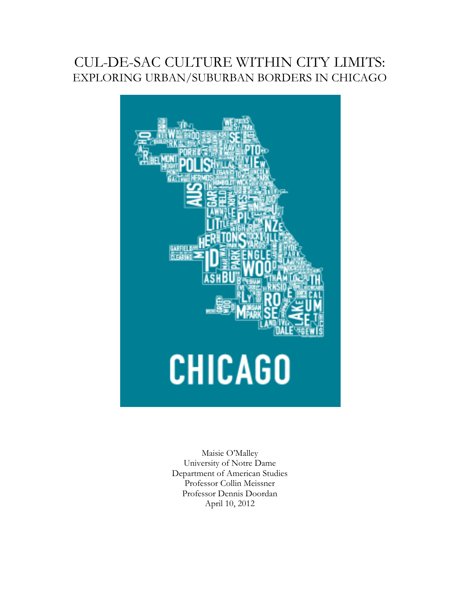## CUL-DE-SAC CULTURE WITHIN CITY LIMITS: EXPLORING URBAN/SUBURBAN BORDERS IN CHICAGO



Maisie O'Malley University of Notre Dame Department of American Studies Professor Collin Meissner Professor Dennis Doordan April 10, 2012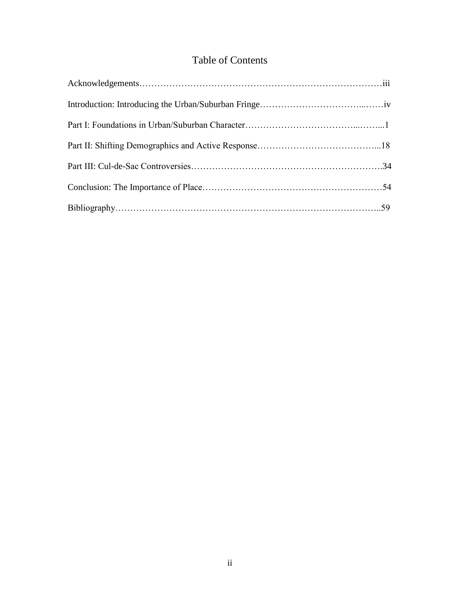## Table of Contents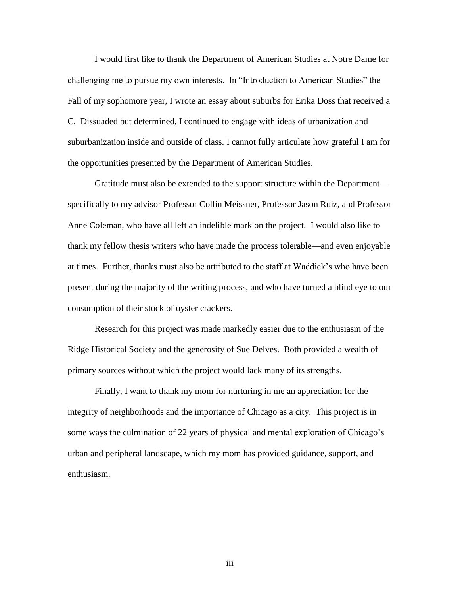I would first like to thank the Department of American Studies at Notre Dame for challenging me to pursue my own interests. In "Introduction to American Studies" the Fall of my sophomore year, I wrote an essay about suburbs for Erika Doss that received a C. Dissuaded but determined, I continued to engage with ideas of urbanization and suburbanization inside and outside of class. I cannot fully articulate how grateful I am for the opportunities presented by the Department of American Studies.

Gratitude must also be extended to the support structure within the Department specifically to my advisor Professor Collin Meissner, Professor Jason Ruiz, and Professor Anne Coleman, who have all left an indelible mark on the project. I would also like to thank my fellow thesis writers who have made the process tolerable—and even enjoyable at times. Further, thanks must also be attributed to the staff at Waddick's who have been present during the majority of the writing process, and who have turned a blind eye to our consumption of their stock of oyster crackers.

Research for this project was made markedly easier due to the enthusiasm of the Ridge Historical Society and the generosity of Sue Delves. Both provided a wealth of primary sources without which the project would lack many of its strengths.

Finally, I want to thank my mom for nurturing in me an appreciation for the integrity of neighborhoods and the importance of Chicago as a city. This project is in some ways the culmination of 22 years of physical and mental exploration of Chicago's urban and peripheral landscape, which my mom has provided guidance, support, and enthusiasm.

iii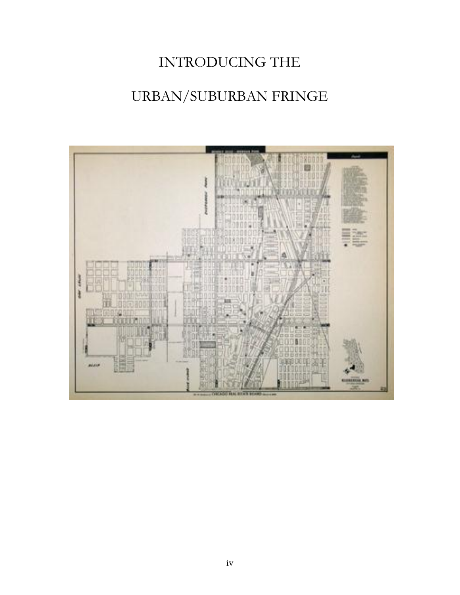## INTRODUCING THE

## URBAN/SUBURBAN FRINGE

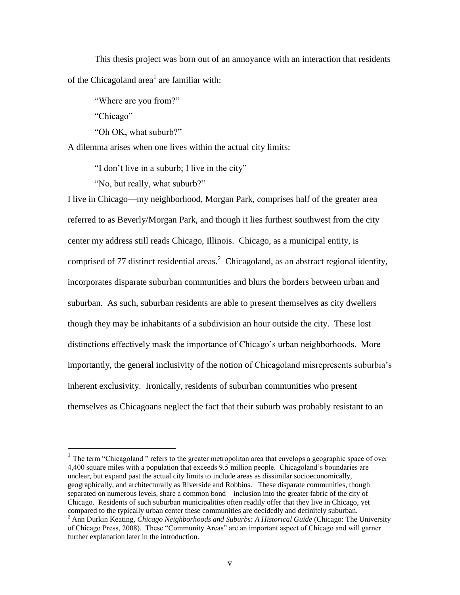This thesis project was born out of an annoyance with an interaction that residents of the Chicagoland area<sup>1</sup> are familiar with:

"Where are you from?"

"Chicago"

 $\overline{a}$ 

"Oh OK, what suburb?"

A dilemma arises when one lives within the actual city limits:

"I don't live in a suburb; I live in the city"

"No, but really, what suburb?"

I live in Chicago—my neighborhood, Morgan Park, comprises half of the greater area referred to as Beverly/Morgan Park, and though it lies furthest southwest from the city center my address still reads Chicago, Illinois. Chicago, as a municipal entity, is comprised of 77 distinct residential areas.<sup>2</sup> Chicagoland, as an abstract regional identity, incorporates disparate suburban communities and blurs the borders between urban and suburban. As such, suburban residents are able to present themselves as city dwellers though they may be inhabitants of a subdivision an hour outside the city. These lost distinctions effectively mask the importance of Chicago's urban neighborhoods. More importantly, the general inclusivity of the notion of Chicagoland misrepresents suburbia's inherent exclusivity. Ironically, residents of suburban communities who present themselves as Chicagoans neglect the fact that their suburb was probably resistant to an

<sup>&</sup>lt;sup>1</sup> The term "Chicagoland" refers to the greater metropolitan area that envelops a geographic space of over 4,400 square miles with a population that exceeds 9.5 million people. Chicagoland's boundaries are unclear, but expand past the actual city limits to include areas as dissimilar socioeconomically, geographically, and architecturally as Riverside and Robbins. These disparate communities, though separated on numerous levels, share a common bond—inclusion into the greater fabric of the city of Chicago. Residents of such suburban municipalities often readily offer that they live in Chicago, yet compared to the typically urban center these communities are decidedly and definitely suburban.

<sup>2</sup> Ann Durkin Keating, *Chicago Neighborhoods and Suburbs: A Historical Guide* (Chicago: The University of Chicago Press, 2008). These "Community Areas" are an important aspect of Chicago and will garner further explanation later in the introduction.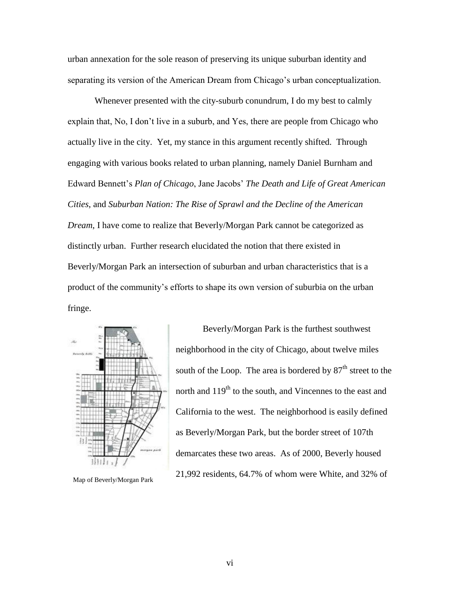urban annexation for the sole reason of preserving its unique suburban identity and separating its version of the American Dream from Chicago's urban conceptualization.

Whenever presented with the city-suburb conundrum, I do my best to calmly explain that, No, I don't live in a suburb, and Yes, there are people from Chicago who actually live in the city. Yet, my stance in this argument recently shifted. Through engaging with various books related to urban planning, namely Daniel Burnham and Edward Bennett's *Plan of Chicago*, Jane Jacobs' *The Death and Life of Great American Cities*, and *Suburban Nation: The Rise of Sprawl and the Decline of the American Dream*, I have come to realize that Beverly/Morgan Park cannot be categorized as distinctly urban. Further research elucidated the notion that there existed in Beverly/Morgan Park an intersection of suburban and urban characteristics that is a product of the community's efforts to shape its own version of suburbia on the urban fringe.



Map of Beverly/Morgan Park

Beverly/Morgan Park is the furthest southwest neighborhood in the city of Chicago, about twelve miles south of the Loop. The area is bordered by  $87<sup>th</sup>$  street to the north and 119<sup>th</sup> to the south, and Vincennes to the east and California to the west. The neighborhood is easily defined as Beverly/Morgan Park, but the border street of 107th demarcates these two areas. As of 2000, Beverly housed 21,992 residents, 64.7% of whom were White, and 32% of

vi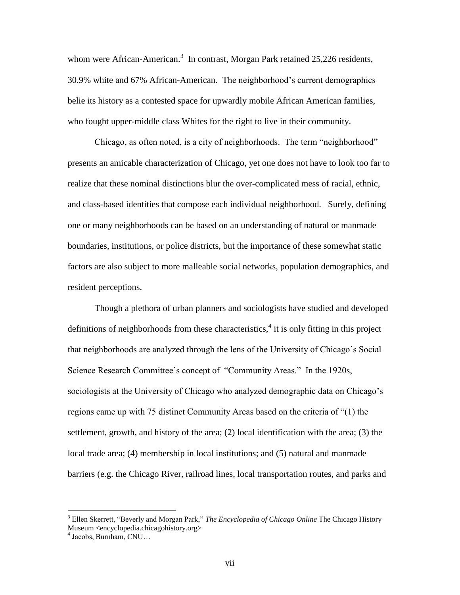whom were African-American.<sup>3</sup> In contrast, Morgan Park retained 25,226 residents, 30.9% white and 67% African-American. The neighborhood's current demographics belie its history as a contested space for upwardly mobile African American families, who fought upper-middle class Whites for the right to live in their community.

Chicago, as often noted, is a city of neighborhoods. The term "neighborhood" presents an amicable characterization of Chicago, yet one does not have to look too far to realize that these nominal distinctions blur the over-complicated mess of racial, ethnic, and class-based identities that compose each individual neighborhood. Surely, defining one or many neighborhoods can be based on an understanding of natural or manmade boundaries, institutions, or police districts, but the importance of these somewhat static factors are also subject to more malleable social networks, population demographics, and resident perceptions.

Though a plethora of urban planners and sociologists have studied and developed definitions of neighborhoods from these characteristics,  $4$  it is only fitting in this project that neighborhoods are analyzed through the lens of the University of Chicago's Social Science Research Committee's concept of "Community Areas." In the 1920s, sociologists at the University of Chicago who analyzed demographic data on Chicago's regions came up with 75 distinct Community Areas based on the criteria of "(1) the settlement, growth, and history of the area; (2) local identification with the area; (3) the local trade area; (4) membership in local institutions; and (5) natural and manmade barriers (e.g. the Chicago River, railroad lines, local transportation routes, and parks and

<sup>3</sup> Ellen Skerrett, "Beverly and Morgan Park," *The Encyclopedia of Chicago Online* The Chicago History Museum <encyclopedia.chicagohistory.org>

<sup>4</sup> Jacobs, Burnham, CNU…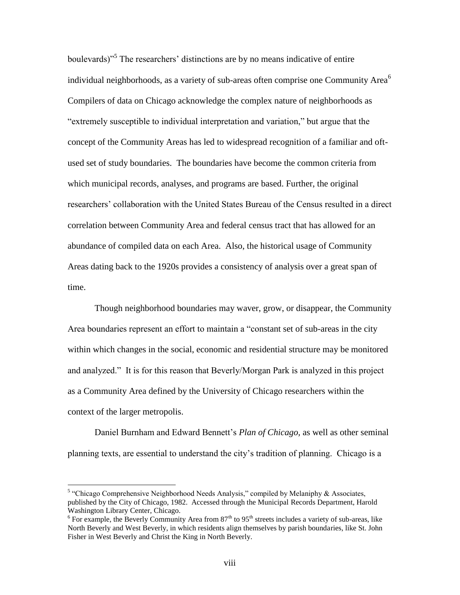boulevards)"<sup>5</sup> The researchers' distinctions are by no means indicative of entire individual neighborhoods, as a variety of sub-areas often comprise one Community Area $<sup>6</sup>$ </sup> Compilers of data on Chicago acknowledge the complex nature of neighborhoods as "extremely susceptible to individual interpretation and variation," but argue that the concept of the Community Areas has led to widespread recognition of a familiar and oftused set of study boundaries. The boundaries have become the common criteria from which municipal records, analyses, and programs are based. Further, the original researchers' collaboration with the United States Bureau of the Census resulted in a direct correlation between Community Area and federal census tract that has allowed for an abundance of compiled data on each Area. Also, the historical usage of Community Areas dating back to the 1920s provides a consistency of analysis over a great span of time.

Though neighborhood boundaries may waver, grow, or disappear, the Community Area boundaries represent an effort to maintain a "constant set of sub-areas in the city within which changes in the social, economic and residential structure may be monitored and analyzed." It is for this reason that Beverly/Morgan Park is analyzed in this project as a Community Area defined by the University of Chicago researchers within the context of the larger metropolis.

Daniel Burnham and Edward Bennett's *Plan of Chicago,* as well as other seminal planning texts, are essential to understand the city's tradition of planning. Chicago is a

<sup>&</sup>lt;sup>5</sup> "Chicago Comprehensive Neighborhood Needs Analysis," compiled by Melaniphy & Associates, published by the City of Chicago, 1982. Accessed through the Municipal Records Department, Harold Washington Library Center, Chicago.

 $6$  For example, the Beverly Community Area from  $87<sup>th</sup>$  to  $95<sup>th</sup>$  streets includes a variety of sub-areas, like North Beverly and West Beverly, in which residents align themselves by parish boundaries, like St. John Fisher in West Beverly and Christ the King in North Beverly.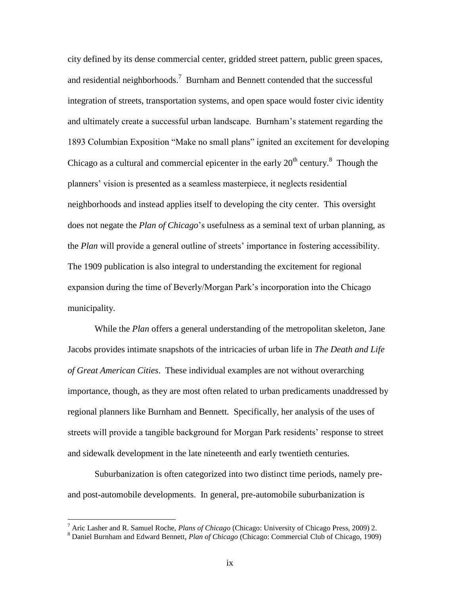city defined by its dense commercial center, gridded street pattern, public green spaces, and residential neighborhoods.<sup>7</sup> Burnham and Bennett contended that the successful integration of streets, transportation systems, and open space would foster civic identity and ultimately create a successful urban landscape. Burnham's statement regarding the 1893 Columbian Exposition "Make no small plans" ignited an excitement for developing Chicago as a cultural and commercial epicenter in the early  $20<sup>th</sup>$  century.<sup>8</sup> Though the planners' vision is presented as a seamless masterpiece, it neglects residential neighborhoods and instead applies itself to developing the city center. This oversight does not negate the *Plan of Chicago*'s usefulness as a seminal text of urban planning, as the *Plan* will provide a general outline of streets' importance in fostering accessibility. The 1909 publication is also integral to understanding the excitement for regional expansion during the time of Beverly/Morgan Park's incorporation into the Chicago municipality.

While the *Plan* offers a general understanding of the metropolitan skeleton, Jane Jacobs provides intimate snapshots of the intricacies of urban life in *The Death and Life of Great American Cities*. These individual examples are not without overarching importance, though, as they are most often related to urban predicaments unaddressed by regional planners like Burnham and Bennett. Specifically, her analysis of the uses of streets will provide a tangible background for Morgan Park residents' response to street and sidewalk development in the late nineteenth and early twentieth centuries.

Suburbanization is often categorized into two distinct time periods, namely preand post-automobile developments. In general, pre-automobile suburbanization is

<sup>7</sup> Aric Lasher and R. Samuel Roche, *Plans of Chicago* (Chicago: University of Chicago Press, 2009) 2.

<sup>8</sup> Daniel Burnham and Edward Bennett, *Plan of Chicago* (Chicago: Commercial Club of Chicago, 1909)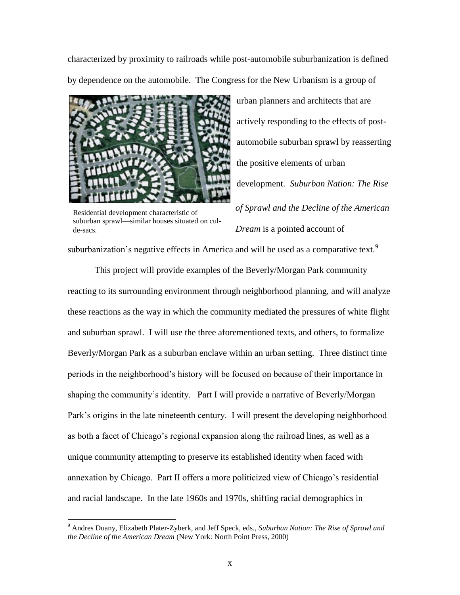characterized by proximity to railroads while post-automobile suburbanization is defined by dependence on the automobile. The Congress for the New Urbanism is a group of



automobile suburban sprawl by reasserting the positive elements of urban development. *Suburban Nation: The Rise of Sprawl and the Decline of the American Dream* is a pointed account of

urban planners and architects that are

actively responding to the effects of post-

Residential development characteristic of suburban sprawl—similar houses situated on culde-sacs.

 $\overline{a}$ 

suburbanization's negative effects in America and will be used as a comparative text.<sup>9</sup>

This project will provide examples of the Beverly/Morgan Park community reacting to its surrounding environment through neighborhood planning, and will analyze these reactions as the way in which the community mediated the pressures of white flight and suburban sprawl. I will use the three aforementioned texts, and others, to formalize Beverly/Morgan Park as a suburban enclave within an urban setting. Three distinct time periods in the neighborhood's history will be focused on because of their importance in shaping the community's identity. Part I will provide a narrative of Beverly/Morgan Park's origins in the late nineteenth century. I will present the developing neighborhood as both a facet of Chicago's regional expansion along the railroad lines, as well as a unique community attempting to preserve its established identity when faced with annexation by Chicago. Part II offers a more politicized view of Chicago's residential and racial landscape. In the late 1960s and 1970s, shifting racial demographics in

<sup>9</sup> Andres Duany, Elizabeth Plater-Zyberk, and Jeff Speck, eds., *Suburban Nation: The Rise of Sprawl and the Decline of the American Dream* (New York: North Point Press, 2000)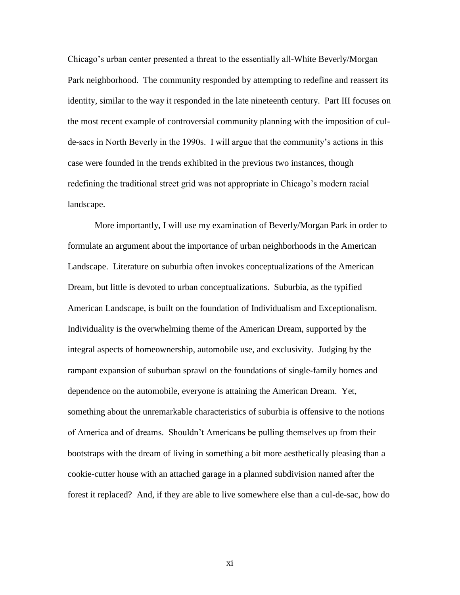Chicago's urban center presented a threat to the essentially all-White Beverly/Morgan Park neighborhood. The community responded by attempting to redefine and reassert its identity, similar to the way it responded in the late nineteenth century. Part III focuses on the most recent example of controversial community planning with the imposition of culde-sacs in North Beverly in the 1990s. I will argue that the community's actions in this case were founded in the trends exhibited in the previous two instances, though redefining the traditional street grid was not appropriate in Chicago's modern racial landscape.

More importantly, I will use my examination of Beverly/Morgan Park in order to formulate an argument about the importance of urban neighborhoods in the American Landscape. Literature on suburbia often invokes conceptualizations of the American Dream, but little is devoted to urban conceptualizations. Suburbia, as the typified American Landscape, is built on the foundation of Individualism and Exceptionalism. Individuality is the overwhelming theme of the American Dream, supported by the integral aspects of homeownership, automobile use, and exclusivity. Judging by the rampant expansion of suburban sprawl on the foundations of single-family homes and dependence on the automobile, everyone is attaining the American Dream. Yet, something about the unremarkable characteristics of suburbia is offensive to the notions of America and of dreams. Shouldn't Americans be pulling themselves up from their bootstraps with the dream of living in something a bit more aesthetically pleasing than a cookie-cutter house with an attached garage in a planned subdivision named after the forest it replaced? And, if they are able to live somewhere else than a cul-de-sac, how do

xi